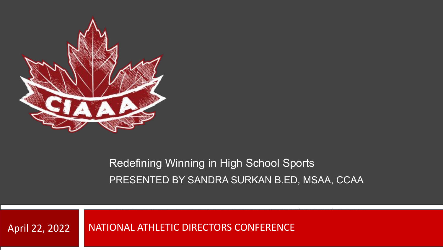

### Redefining Winning in High School Sports PRESENTED BY SANDRA SURKAN B.ED, MSAA, CCAA

April 22, 2022 | NATIONAL ATHLETIC DIRECTORS CONFERENCE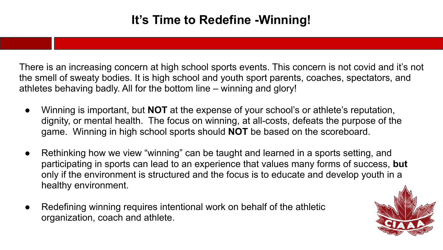## **It's Time to Redefine -Winning!**

There is an increasing concern at high school sports events. This concern is not covid and it's not the smell of sweaty bodies. It is high school and youth sport parents, coaches, spectators, and athletes behaving badly. All for the bottom line – winning and glory!

- Winning is important, but **NOT** at the expense of your school's or athlete's reputation, dignity, or mental health. The focus on winning, at all-costs, defeats the purpose of the game. Winning in high school sports should **NOT** be based on the scoreboard.
- Rethinking how we view "winning" can be taught and learned in a sports setting, and participating in sports can lead to an experience that values many forms of success, **but** only if the environment is structured and the focus is to educate and develop youth in a healthy environment.
- Redefining winning requires intentional work on behalf of the athletic organization, coach and athlete.

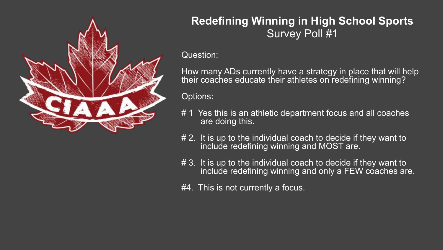

### **Redefining Winning in High School Sports** Survey Poll #1

Question:

How many ADs currently have a strategy in place that will help their coaches educate their athletes on redefining winning?

Options:

- # 1 Yes this is an athletic department focus and all coaches are doing this.
- # 2. It is up to the individual coach to decide if they want to include redefining winning and MOST are.
- # 3. It is up to the individual coach to decide if they want to include redefining winning and only a FEW coaches are.
- #4. This is not currently a focus.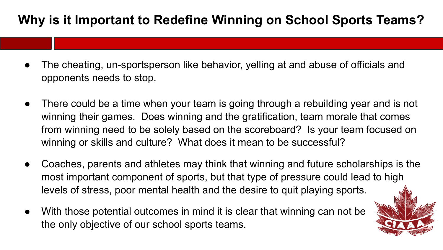# **Why is it Important to Redefine Winning on School Sports Teams?**

- The cheating, un-sportsperson like behavior, yelling at and abuse of officials and opponents needs to stop.
- There could be a time when your team is going through a rebuilding year and is not winning their games. Does winning and the gratification, team morale that comes from winning need to be solely based on the scoreboard? Is your team focused on winning or skills and culture? What does it mean to be successful?
- Coaches, parents and athletes may think that winning and future scholarships is the most important component of sports, but that type of pressure could lead to high levels of stress, poor mental health and the desire to quit playing sports.
- With those potential outcomes in mind it is clear that winning can not be the only objective of our school sports teams.

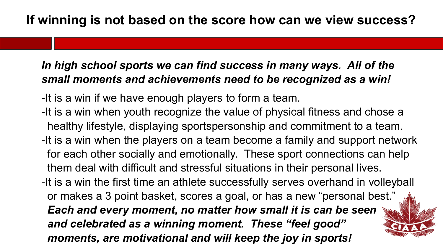### *In high school sports we can find success in many ways. All of the small moments and achievements need to be recognized as a win!*

- -It is a win if we have enough players to form a team.
- -It is a win when youth recognize the value of physical fitness and chose a healthy lifestyle, displaying sportspersonship and commitment to a team.
- -It is a win when the players on a team become a family and support network for each other socially and emotionally. These sport connections can help them deal with difficult and stressful situations in their personal lives.
- -It is a win the first time an athlete successfully serves overhand in volleyball or makes a 3 point basket, scores a goal, or has a new "personal best."  *Each and every moment, no matter how small it is can be seen and celebrated as a winning moment. These "feel good" moments, are motivational and will keep the joy in sports!*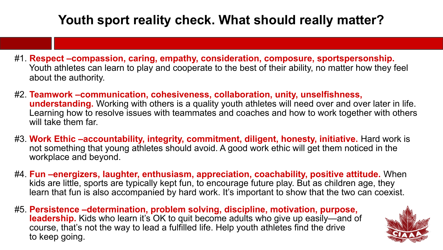# **Youth sport reality check. What should really matter?**

- #1. **Respect –compassion, caring, empathy, consideration, composure, sportspersonship.** Youth athletes can learn to play and cooperate to the best of their ability, no matter how they feel about the authority.
- #2. **Teamwork –communication, cohesiveness, collaboration, unity, unselfishness, understanding.** Working with others is a quality youth athletes will need over and over later in life. Learning how to resolve issues with teammates and coaches and how to work together with others will take them far.
- #3. **Work Ethic –accountability, integrity, commitment, diligent, honesty, initiative.** Hard work is not something that young athletes should avoid. A good work ethic will get them noticed in the workplace and beyond.
- #4. **Fun –energizers, laughter, enthusiasm, appreciation, coachability, positive attitude.** When kids are little, sports are typically kept fun, to encourage future play. But as children age, they learn that fun is also accompanied by hard work. It's important to show that the two can coexist.
- #5. **Persistence –determination, problem solving, discipline, motivation, purpose, leadership.** Kids who learn it's OK to quit become adults who give up easily—and of course, that's not the way to lead a fulfilled life. Help youth athletes find the drive to keep going.

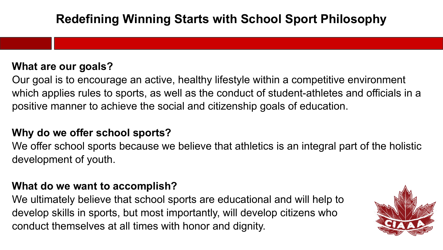#### **What are our goals?**

Our goal is to encourage an active, healthy lifestyle within a competitive environment which applies rules to sports, as well as the conduct of student-athletes and officials in a positive manner to achieve the social and citizenship goals of education.

#### **Why do we offer school sports?**

We offer school sports because we believe that athletics is an integral part of the holistic development of youth.

#### **What do we want to accomplish?**

We ultimately believe that school sports are educational and will help to develop skills in sports, but most importantly, will develop citizens who conduct themselves at all times with honor and dignity.

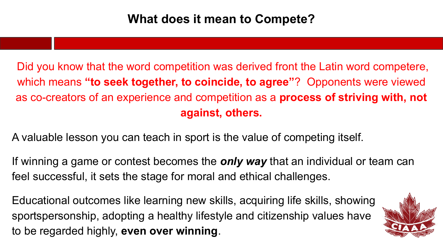Did you know that the word competition was derived front the Latin word competere, which means **"to seek together, to coincide, to agree"**? Opponents were viewed as co-creators of an experience and competition as a **process of striving with, not against, others.**

A valuable lesson you can teach in sport is the value of competing itself.

If winning a game or contest becomes the *only way* that an individual or team can feel successful, it sets the stage for moral and ethical challenges.

Educational outcomes like learning new skills, acquiring life skills, showing sportspersonship, adopting a healthy lifestyle and citizenship values have to be regarded highly, **even over winning**.

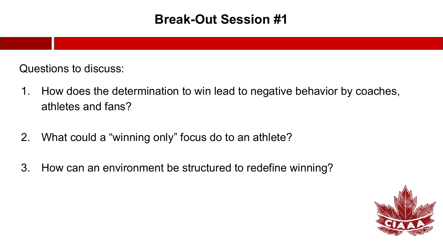### **Break-Out Session #1**

Questions to discuss:

- 1. How does the determination to win lead to negative behavior by coaches, athletes and fans?
- 2. What could a "winning only" focus do to an athlete?
- 3. How can an environment be structured to redefine winning?

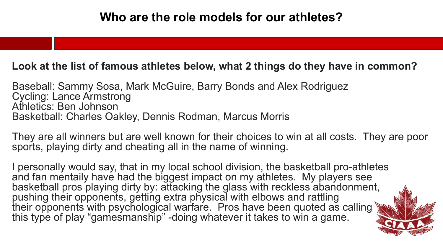#### **Look at the list of famous athletes below, what 2 things do they have in common?**

Baseball: Sammy Sosa, Mark McGuire, Barry Bonds and Alex Rodriguez Cycling: Lance Armstrong Athletics: Ben Johnson Basketball: Charles Oakley, Dennis Rodman, Marcus Morris

They are all winners but are well known for their choices to win at all costs. They are poor sports, playing dirty and cheating all in the name of winning.

 I personally would say, that in my local school division, the basketball pro-athletes and fan mentaily have had the biggest impact on my athletes. My players see basketball pros playing dirty by: attacking the glass with reckless abandonment, pushing their opponents, getting extra physical with elbows and rattling their opponents with psychological warfare. Pros have been quoted as calling this type of play "gamesmanship" -doing whatever it takes to win a game.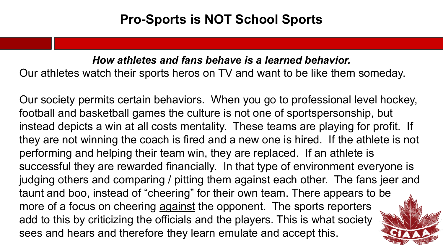## **Pro-Sports is NOT School Sports**

*How athletes and fans behave is a learned behavior.*  Our athletes watch their sports heros on TV and want to be like them someday.

Our society permits certain behaviors. When you go to professional level hockey, football and basketball games the culture is not one of sportspersonship, but instead depicts a win at all costs mentality. These teams are playing for profit. If they are not winning the coach is fired and a new one is hired. If the athlete is not performing and helping their team win, they are replaced. If an athlete is successful they are rewarded financially. In that type of environment everyone is judging others and comparing / pitting them against each other. The fans jeer and taunt and boo, instead of "cheering" for their own team. There appears to be more of a focus on cheering against the opponent. The sports reporters add to this by criticizing the officials and the players. This is what society sees and hears and therefore they learn emulate and accept this.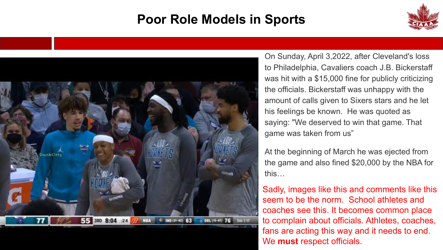# **Poor Role Models in Sports**





On Sunday, April 3,2022, after Cleveland's loss to Philadelphia, [Cavaliers](https://www.cbssports.com/nba/teams/CLE/cleveland-cavaliers/) coach J.B. Bickerstaff was hit with a \$15,000 fine for publicly criticizing the officials. Bickerstaff was unhappy with the amount of calls given to Sixers stars and he let his feelings be known. He was quoted as saying: "We deserved to win that game. That game was taken from us"

At the beginning of March he was ejected from the game and also fined \$20,000 by the NBA for this…

Sadly, images like this and comments like this seem to be the norm. School athletes and coaches see this. It becomes common place to complain about officials. Athletes, coaches, fans are acting this way and it needs to end. We **must** respect officials.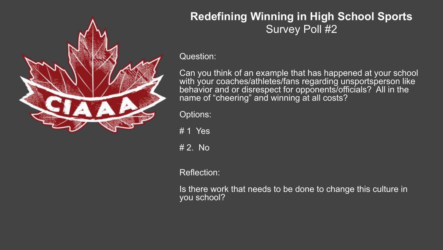

### **Redefining Winning in High School Sports** Survey Poll #2

Question:

Can you think of an example that has happened at your school with your coaches/athletes/fans regarding unsportsperson like behavior and or disrespect for opponents/officials? All in the name of "cheering" and winning at all costs?

Options:

 $# 1$  Yes

# 2. No

Reflection:

Is there work that needs to be done to change this culture in you school?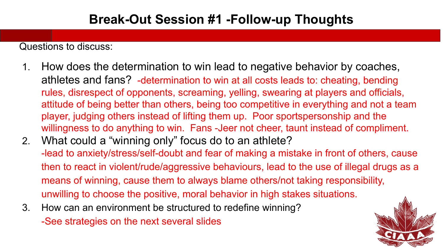Questions to discuss:

- 1. How does the determination to win lead to negative behavior by coaches, athletes and fans? -determination to win at all costs leads to: cheating, bending rules, disrespect of opponents, screaming, yelling, swearing at players and officials, attitude of being better than others, being too competitive in everything and not a team player, judging others instead of lifting them up. Poor sportspersonship and the willingness to do anything to win. Fans -Jeer not cheer, taunt instead of compliment.
- 2. What could a "winning only" focus do to an athlete? -lead to anxiety/stress/self-doubt and fear of making a mistake in front of others, cause then to react in violent/rude/aggressive behaviours, lead to the use of illegal drugs as a means of winning, cause them to always blame others/not taking responsibility, unwilling to choose the positive, moral behavior in high stakes situations.
- 3. How can an environment be structured to redefine winning? -See strategies on the next several slides

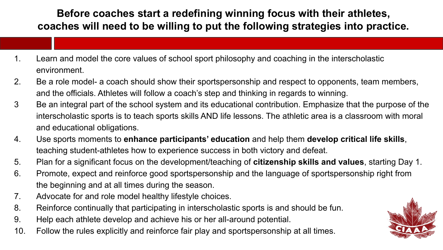### **Before coaches start a redefining winning focus with their athletes, coaches will need to be willing to put the following strategies into practice.**

- 1. Learn and model the core values of school sport philosophy and coaching in the interscholastic environment.
- 2. Be a role model- a coach should show their sportspersonship and respect to opponents, team members, and the officials. Athletes will follow a coach's step and thinking in regards to winning.
- 3 Be an integral part of the school system and its educational contribution. Emphasize that the purpose of the interscholastic sports is to teach sports skills AND life lessons. The athletic area is a classroom with moral and educational obligations.
- 4. Use sports moments to **enhance participants' education** and help them **develop critical life skills**, teaching student-athletes how to experience success in both victory and defeat.
- 5. Plan for a significant focus on the development/teaching of **citizenship skills and values**, starting Day 1.
- 6. Promote, expect and reinforce good sportspersonship and the language of sportspersonship right from the beginning and at all times during the season.
- 7. Advocate for and role model healthy lifestyle choices.
- 8. Reinforce continually that participating in interscholastic sports is and should be fun.
- 9. Help each athlete develop and achieve his or her all-around potential.
- 10. Follow the rules explicitly and reinforce fair play and sportspersonship at all times.

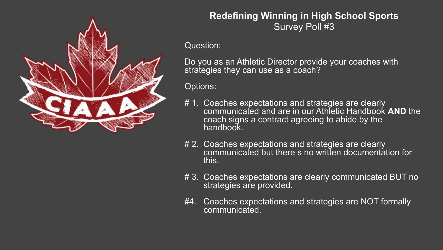

#### **Redefining Winning in High School Sports** Survey Poll #3

Question:

Do you as an Athletic Director provide your coaches with strategies they can use as a coach?

Options:

- # 1. Coaches expectations and strategies are clearly communicated and are in our Athletic Handbook **AND** the coach signs a contract agreeing to abide by the handbook.
- # 2. Coaches expectations and strategies are clearly communicated but there s no written documentation for this.
- # 3. Coaches expectations are clearly communicated BUT no strategies are provided.
- #4. Coaches expectations and strategies are NOT formally communicated.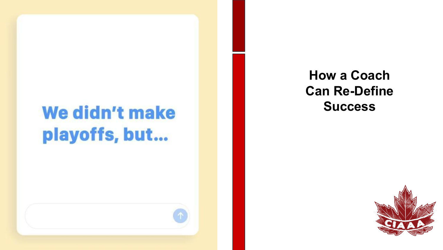# We didn't make playoffs, but...

**How a Coach Can Re-Define Success**

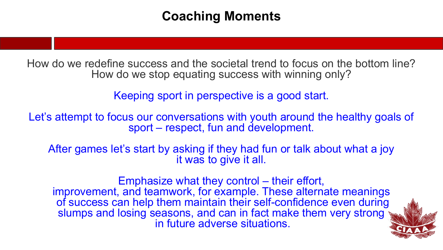### **Coaching Moments**

How do we redefine success and the societal trend to focus on the bottom line? How do we stop equating success with winning only?

Keeping sport in perspective is a good start.

Let's attempt to focus our conversations with youth around the healthy goals of sport – respect, fun and development.

After games let's start by asking if they had fun or talk about what a joy it was to give it all.

Emphasize what they control – their effort, improvement, and teamwork, for example. These alternate meanings of success can help them maintain their self-confidence even during slumps and losing seasons, and can in fact make them very strong in future adverse situations.

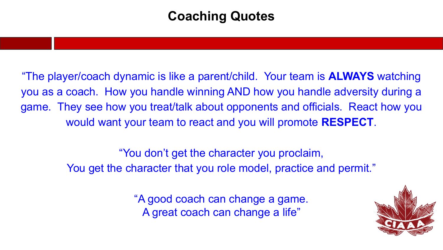## **Coaching Quotes**

"The player/coach dynamic is like a parent/child. Your team is **ALWAYS** watching you as a coach. How you handle winning AND how you handle adversity during a game. They see how you treat/talk about opponents and officials. React how you would want your team to react and you will promote **RESPECT**.

> "You don't get the character you proclaim, You get the character that you role model, practice and permit."

> > "A good coach can change a game. A great coach can change a life"

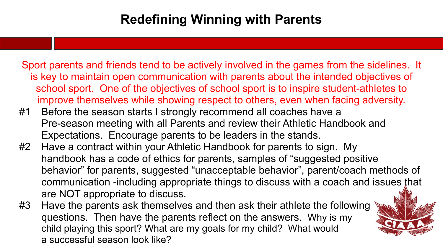# **Redefining Winning with Parents**

Sport parents and friends tend to be actively involved in the games from the sidelines. It is key to maintain open communication with parents about the intended objectives of school sport. One of the objectives of school sport is to inspire student-athletes to improve themselves while showing respect to others, even when facing adversity.

- #1 Before the season starts I strongly recommend all coaches have a Pre-season meeting with all Parents and review their Athletic Handbook and Expectations. Encourage parents to be leaders in the stands.
- #2 Have a contract within your Athletic Handbook for parents to sign. My handbook has a code of ethics for parents, samples of "suggested positive behavior" for parents, suggested "unacceptable behavior", parent/coach methods of communication -including appropriate things to discuss with a coach and issues that are NOT appropriate to discuss.
- #3 Have the parents ask themselves and then ask their athlete the following questions. Then have the parents reflect on the answers. Why is my child playing this sport? What are my goals for my child? What would a successful season look like?

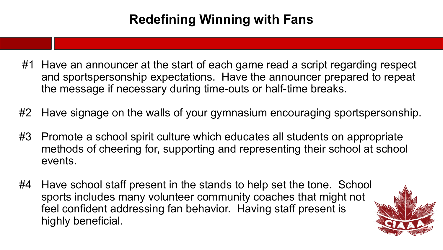# **Redefining Winning with Fans**

- #1 Have an announcer at the start of each game read a script regarding respect and sportspersonship expectations. Have the announcer prepared to repeat the message if necessary during time-outs or half-time breaks.
- #2 Have signage on the walls of your gymnasium encouraging sportspersonship.
- #3 Promote a school spirit culture which educates all students on appropriate methods of cheering for, supporting and representing their school at school events.
- #4 Have school staff present in the stands to help set the tone. School sports includes many volunteer community coaches that might not feel confident addressing fan behavior. Having staff present is highly beneficial.

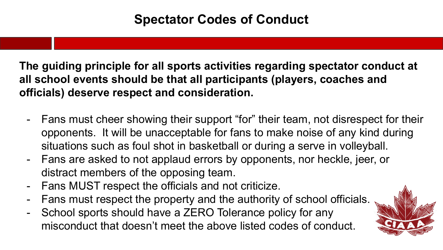**The guiding principle for all sports activities regarding spectator conduct at all school events should be that all participants (players, coaches and officials) deserve respect and consideration.**

- Fans must cheer showing their support "for" their team, not disrespect for their opponents. It will be unacceptable for fans to make noise of any kind during situations such as foul shot in basketball or during a serve in volleyball.
- Fans are asked to not applaud errors by opponents, nor heckle, jeer, or distract members of the opposing team.
- Fans MUST respect the officials and not criticize.
- Fans must respect the property and the authority of school officials.
- School sports should have a ZERO Tolerance policy for any misconduct that doesn't meet the above listed codes of conduct.

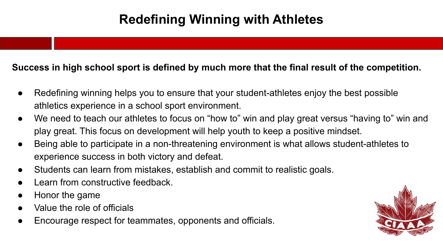# **Redefining Winning with Athletes**

#### **Success in high school sport is defined by much more that the final result of the competition.**

- Redefining winning helps you to ensure that your student-athletes enjoy the best possible athletics experience in a school sport environment.
- We need to teach our athletes to focus on "how to" win and play great versus "having to" win and play great. This focus on development will help youth to keep a positive mindset.
- Being able to participate in a non-threatening environment is what allows student-athletes to experience success in both victory and defeat.
- Students can learn from mistakes, establish and commit to realistic goals.
- Learn from constructive feedback.
- Honor the game
- Value the role of officials
- Encourage respect for teammates, opponents and officials.

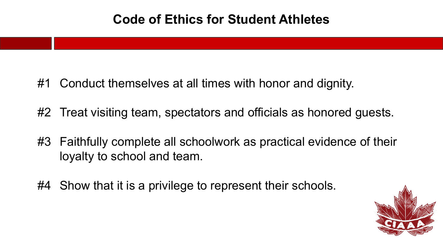### **Code of Ethics for Student Athletes**

- #1 Conduct themselves at all times with honor and dignity.
- #2 Treat visiting team, spectators and officials as honored guests.
- #3 Faithfully complete all schoolwork as practical evidence of their loyalty to school and team.
- #4 Show that it is a privilege to represent their schools.

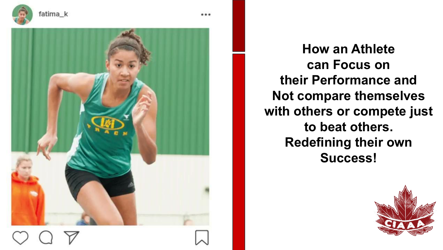



**How an Athlete can Focus on their Performance and Not compare themselves with others or compete just to beat others. Redefining their own Success!**

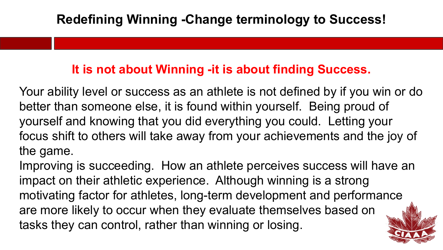### **It is not about Winning -it is about finding Success.**

Your ability level or success as an athlete is not defined by if you win or do better than someone else, it is found within yourself. Being proud of yourself and knowing that you did everything you could. Letting your focus shift to others will take away from your achievements and the joy of the game.

Improving is succeeding. How an athlete perceives success will have an impact on their athletic experience. Although winning is a strong motivating factor for athletes, long-term development and performance are more likely to occur when they evaluate themselves based on tasks they can control, rather than winning or losing.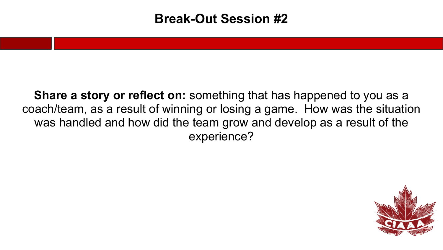### **Break-Out Session #2**

**Share a story or reflect on:** something that has happened to you as a coach/team, as a result of winning or losing a game. How was the situation was handled and how did the team grow and develop as a result of the experience?

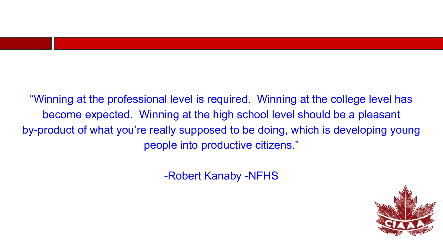"Winning at the professional level is required. Winning at the college level has become expected. Winning at the high school level should be a pleasant by-product of what you're really supposed to be doing, which is developing young people into productive citizens."

-Robert Kanaby -NFHS

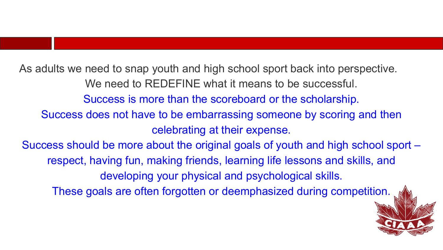As adults we need to snap youth and high school sport back into perspective. We need to REDEFINE what it means to be successful. Success is more than the scoreboard or the scholarship. Success does not have to be embarrassing someone by scoring and then celebrating at their expense. Success should be more about the original goals of youth and high school sport – respect, having fun, making friends, learning life lessons and skills, and developing your physical and psychological skills.

These goals are often forgotten or deemphasized during competition.